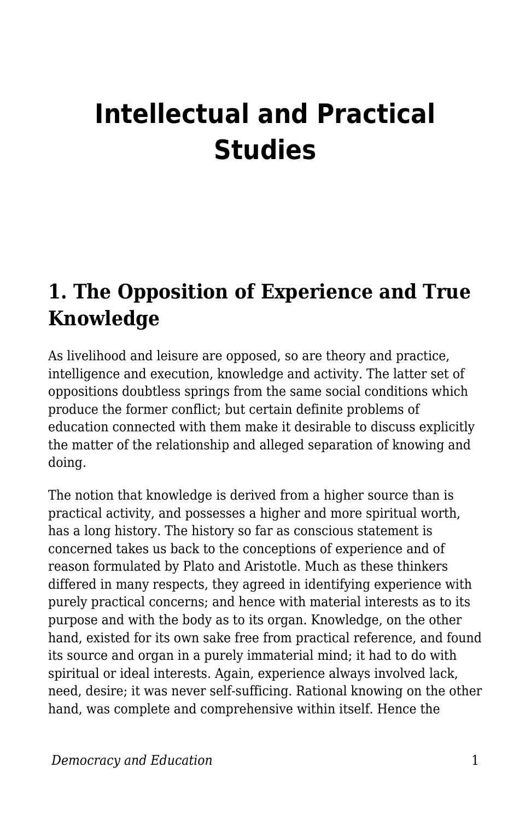# **Intellectual and Practical Studies**

#### **1. The Opposition of Experience and True Knowledge**

As livelihood and leisure are opposed, so are theory and practice, intelligence and execution, knowledge and activity. The latter set of oppositions doubtless springs from the same social conditions which produce the former conflict; but certain definite problems of education connected with them make it desirable to discuss explicitly the matter of the relationship and alleged separation of knowing and doing.

The notion that knowledge is derived from a higher source than is practical activity, and possesses a higher and more spiritual worth, has a long history. The history so far as conscious statement is concerned takes us back to the conceptions of experience and of reason formulated by Plato and Aristotle. Much as these thinkers differed in many respects, they agreed in identifying experience with purely practical concerns; and hence with material interests as to its purpose and with the body as to its organ. Knowledge, on the other hand, existed for its own sake free from practical reference, and found its source and organ in a purely immaterial mind; it had to do with spiritual or ideal interests. Again, experience always involved lack, need, desire; it was never self-sufficing. Rational knowing on the other hand, was complete and comprehensive within itself. Hence the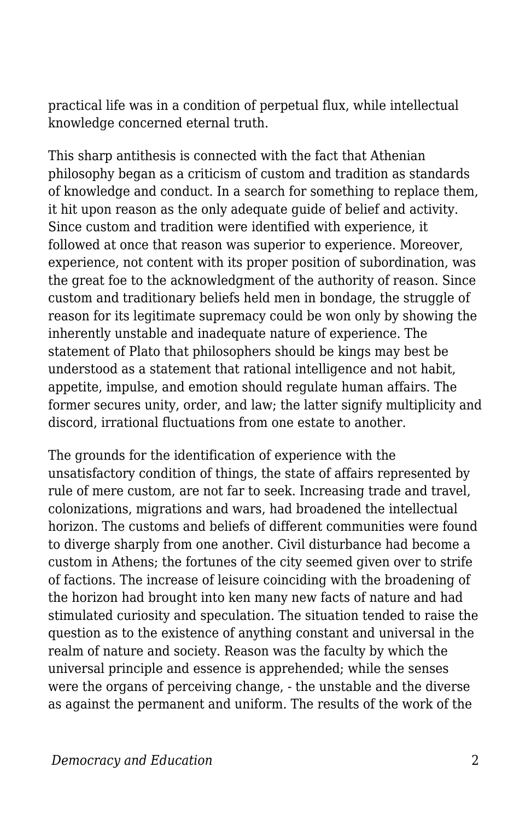practical life was in a condition of perpetual flux, while intellectual knowledge concerned eternal truth.

This sharp antithesis is connected with the fact that Athenian philosophy began as a criticism of custom and tradition as standards of knowledge and conduct. In a search for something to replace them, it hit upon reason as the only adequate guide of belief and activity. Since custom and tradition were identified with experience, it followed at once that reason was superior to experience. Moreover, experience, not content with its proper position of subordination, was the great foe to the acknowledgment of the authority of reason. Since custom and traditionary beliefs held men in bondage, the struggle of reason for its legitimate supremacy could be won only by showing the inherently unstable and inadequate nature of experience. The statement of Plato that philosophers should be kings may best be understood as a statement that rational intelligence and not habit, appetite, impulse, and emotion should regulate human affairs. The former secures unity, order, and law; the latter signify multiplicity and discord, irrational fluctuations from one estate to another.

The grounds for the identification of experience with the unsatisfactory condition of things, the state of affairs represented by rule of mere custom, are not far to seek. Increasing trade and travel, colonizations, migrations and wars, had broadened the intellectual horizon. The customs and beliefs of different communities were found to diverge sharply from one another. Civil disturbance had become a custom in Athens; the fortunes of the city seemed given over to strife of factions. The increase of leisure coinciding with the broadening of the horizon had brought into ken many new facts of nature and had stimulated curiosity and speculation. The situation tended to raise the question as to the existence of anything constant and universal in the realm of nature and society. Reason was the faculty by which the universal principle and essence is apprehended; while the senses were the organs of perceiving change, - the unstable and the diverse as against the permanent and uniform. The results of the work of the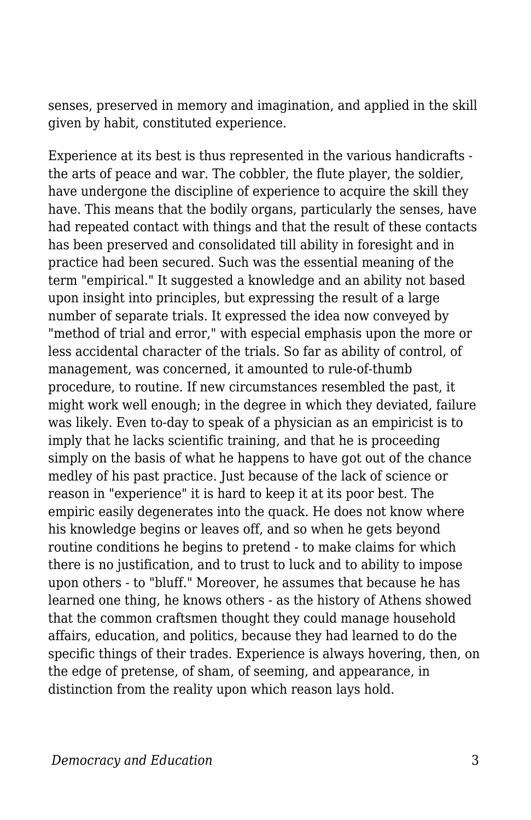senses, preserved in memory and imagination, and applied in the skill given by habit, constituted experience.

Experience at its best is thus represented in the various handicrafts the arts of peace and war. The cobbler, the flute player, the soldier, have undergone the discipline of experience to acquire the skill they have. This means that the bodily organs, particularly the senses, have had repeated contact with things and that the result of these contacts has been preserved and consolidated till ability in foresight and in practice had been secured. Such was the essential meaning of the term "empirical." It suggested a knowledge and an ability not based upon insight into principles, but expressing the result of a large number of separate trials. It expressed the idea now conveyed by "method of trial and error," with especial emphasis upon the more or less accidental character of the trials. So far as ability of control, of management, was concerned, it amounted to rule-of-thumb procedure, to routine. If new circumstances resembled the past, it might work well enough; in the degree in which they deviated, failure was likely. Even to-day to speak of a physician as an empiricist is to imply that he lacks scientific training, and that he is proceeding simply on the basis of what he happens to have got out of the chance medley of his past practice. Just because of the lack of science or reason in "experience" it is hard to keep it at its poor best. The empiric easily degenerates into the quack. He does not know where his knowledge begins or leaves off, and so when he gets beyond routine conditions he begins to pretend - to make claims for which there is no justification, and to trust to luck and to ability to impose upon others - to "bluff." Moreover, he assumes that because he has learned one thing, he knows others - as the history of Athens showed that the common craftsmen thought they could manage household affairs, education, and politics, because they had learned to do the specific things of their trades. Experience is always hovering, then, on the edge of pretense, of sham, of seeming, and appearance, in distinction from the reality upon which reason lays hold.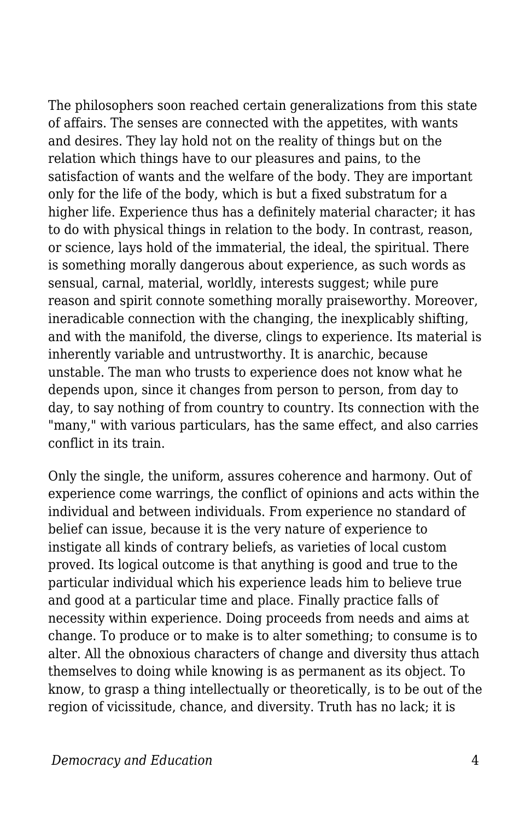The philosophers soon reached certain generalizations from this state of affairs. The senses are connected with the appetites, with wants and desires. They lay hold not on the reality of things but on the relation which things have to our pleasures and pains, to the satisfaction of wants and the welfare of the body. They are important only for the life of the body, which is but a fixed substratum for a higher life. Experience thus has a definitely material character; it has to do with physical things in relation to the body. In contrast, reason, or science, lays hold of the immaterial, the ideal, the spiritual. There is something morally dangerous about experience, as such words as sensual, carnal, material, worldly, interests suggest; while pure reason and spirit connote something morally praiseworthy. Moreover, ineradicable connection with the changing, the inexplicably shifting, and with the manifold, the diverse, clings to experience. Its material is inherently variable and untrustworthy. It is anarchic, because unstable. The man who trusts to experience does not know what he depends upon, since it changes from person to person, from day to day, to say nothing of from country to country. Its connection with the "many," with various particulars, has the same effect, and also carries conflict in its train.

Only the single, the uniform, assures coherence and harmony. Out of experience come warrings, the conflict of opinions and acts within the individual and between individuals. From experience no standard of belief can issue, because it is the very nature of experience to instigate all kinds of contrary beliefs, as varieties of local custom proved. Its logical outcome is that anything is good and true to the particular individual which his experience leads him to believe true and good at a particular time and place. Finally practice falls of necessity within experience. Doing proceeds from needs and aims at change. To produce or to make is to alter something; to consume is to alter. All the obnoxious characters of change and diversity thus attach themselves to doing while knowing is as permanent as its object. To know, to grasp a thing intellectually or theoretically, is to be out of the region of vicissitude, chance, and diversity. Truth has no lack; it is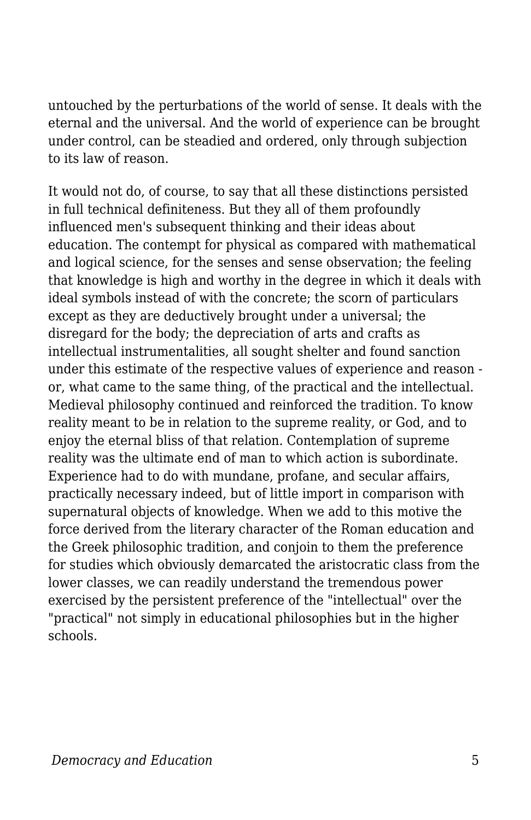untouched by the perturbations of the world of sense. It deals with the eternal and the universal. And the world of experience can be brought under control, can be steadied and ordered, only through subjection to its law of reason.

It would not do, of course, to say that all these distinctions persisted in full technical definiteness. But they all of them profoundly influenced men's subsequent thinking and their ideas about education. The contempt for physical as compared with mathematical and logical science, for the senses and sense observation; the feeling that knowledge is high and worthy in the degree in which it deals with ideal symbols instead of with the concrete; the scorn of particulars except as they are deductively brought under a universal; the disregard for the body; the depreciation of arts and crafts as intellectual instrumentalities, all sought shelter and found sanction under this estimate of the respective values of experience and reason or, what came to the same thing, of the practical and the intellectual. Medieval philosophy continued and reinforced the tradition. To know reality meant to be in relation to the supreme reality, or God, and to enjoy the eternal bliss of that relation. Contemplation of supreme reality was the ultimate end of man to which action is subordinate. Experience had to do with mundane, profane, and secular affairs, practically necessary indeed, but of little import in comparison with supernatural objects of knowledge. When we add to this motive the force derived from the literary character of the Roman education and the Greek philosophic tradition, and conjoin to them the preference for studies which obviously demarcated the aristocratic class from the lower classes, we can readily understand the tremendous power exercised by the persistent preference of the "intellectual" over the "practical" not simply in educational philosophies but in the higher schools.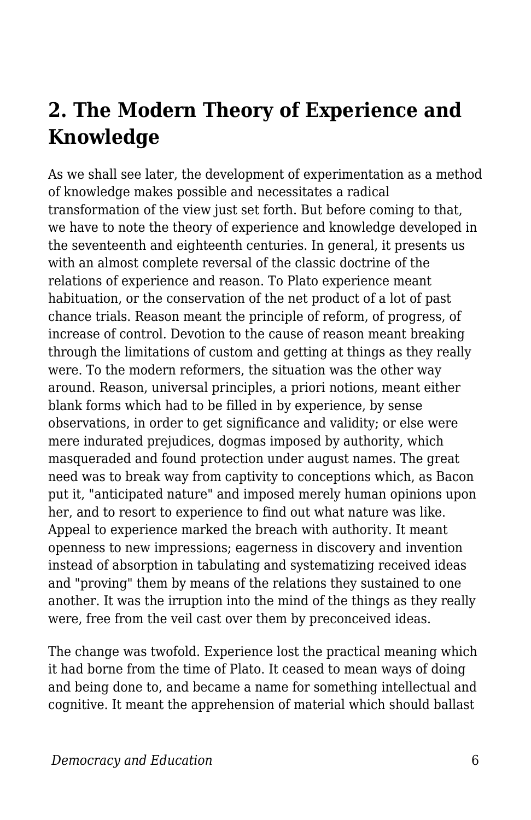# **2. The Modern Theory of Experience and Knowledge**

As we shall see later, the development of experimentation as a method of knowledge makes possible and necessitates a radical transformation of the view just set forth. But before coming to that, we have to note the theory of experience and knowledge developed in the seventeenth and eighteenth centuries. In general, it presents us with an almost complete reversal of the classic doctrine of the relations of experience and reason. To Plato experience meant habituation, or the conservation of the net product of a lot of past chance trials. Reason meant the principle of reform, of progress, of increase of control. Devotion to the cause of reason meant breaking through the limitations of custom and getting at things as they really were. To the modern reformers, the situation was the other way around. Reason, universal principles, a priori notions, meant either blank forms which had to be filled in by experience, by sense observations, in order to get significance and validity; or else were mere indurated prejudices, dogmas imposed by authority, which masqueraded and found protection under august names. The great need was to break way from captivity to conceptions which, as Bacon put it, "anticipated nature" and imposed merely human opinions upon her, and to resort to experience to find out what nature was like. Appeal to experience marked the breach with authority. It meant openness to new impressions; eagerness in discovery and invention instead of absorption in tabulating and systematizing received ideas and "proving" them by means of the relations they sustained to one another. It was the irruption into the mind of the things as they really were, free from the veil cast over them by preconceived ideas.

The change was twofold. Experience lost the practical meaning which it had borne from the time of Plato. It ceased to mean ways of doing and being done to, and became a name for something intellectual and cognitive. It meant the apprehension of material which should ballast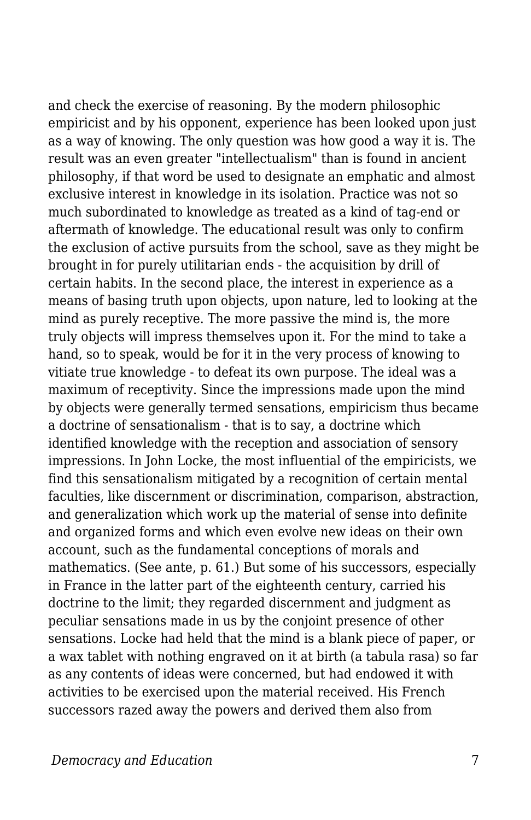and check the exercise of reasoning. By the modern philosophic empiricist and by his opponent, experience has been looked upon just as a way of knowing. The only question was how good a way it is. The result was an even greater "intellectualism" than is found in ancient philosophy, if that word be used to designate an emphatic and almost exclusive interest in knowledge in its isolation. Practice was not so much subordinated to knowledge as treated as a kind of tag-end or aftermath of knowledge. The educational result was only to confirm the exclusion of active pursuits from the school, save as they might be brought in for purely utilitarian ends - the acquisition by drill of certain habits. In the second place, the interest in experience as a means of basing truth upon objects, upon nature, led to looking at the mind as purely receptive. The more passive the mind is, the more truly objects will impress themselves upon it. For the mind to take a hand, so to speak, would be for it in the very process of knowing to vitiate true knowledge - to defeat its own purpose. The ideal was a maximum of receptivity. Since the impressions made upon the mind by objects were generally termed sensations, empiricism thus became a doctrine of sensationalism - that is to say, a doctrine which identified knowledge with the reception and association of sensory impressions. In John Locke, the most influential of the empiricists, we find this sensationalism mitigated by a recognition of certain mental faculties, like discernment or discrimination, comparison, abstraction, and generalization which work up the material of sense into definite and organized forms and which even evolve new ideas on their own account, such as the fundamental conceptions of morals and mathematics. (See ante, p. 61.) But some of his successors, especially in France in the latter part of the eighteenth century, carried his doctrine to the limit; they regarded discernment and judgment as peculiar sensations made in us by the conjoint presence of other sensations. Locke had held that the mind is a blank piece of paper, or a wax tablet with nothing engraved on it at birth (a tabula rasa) so far as any contents of ideas were concerned, but had endowed it with activities to be exercised upon the material received. His French successors razed away the powers and derived them also from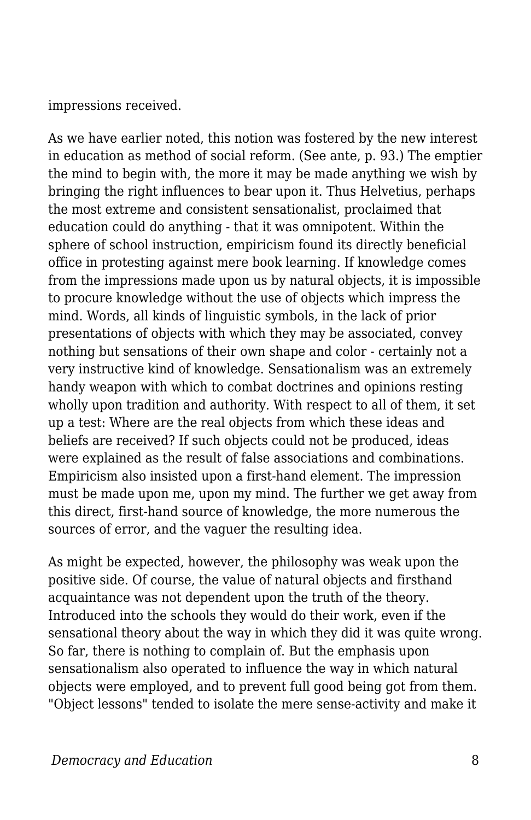impressions received.

As we have earlier noted, this notion was fostered by the new interest in education as method of social reform. (See ante, p. 93.) The emptier the mind to begin with, the more it may be made anything we wish by bringing the right influences to bear upon it. Thus Helvetius, perhaps the most extreme and consistent sensationalist, proclaimed that education could do anything - that it was omnipotent. Within the sphere of school instruction, empiricism found its directly beneficial office in protesting against mere book learning. If knowledge comes from the impressions made upon us by natural objects, it is impossible to procure knowledge without the use of objects which impress the mind. Words, all kinds of linguistic symbols, in the lack of prior presentations of objects with which they may be associated, convey nothing but sensations of their own shape and color - certainly not a very instructive kind of knowledge. Sensationalism was an extremely handy weapon with which to combat doctrines and opinions resting wholly upon tradition and authority. With respect to all of them, it set up a test: Where are the real objects from which these ideas and beliefs are received? If such objects could not be produced, ideas were explained as the result of false associations and combinations. Empiricism also insisted upon a first-hand element. The impression must be made upon me, upon my mind. The further we get away from this direct, first-hand source of knowledge, the more numerous the sources of error, and the vaguer the resulting idea.

As might be expected, however, the philosophy was weak upon the positive side. Of course, the value of natural objects and firsthand acquaintance was not dependent upon the truth of the theory. Introduced into the schools they would do their work, even if the sensational theory about the way in which they did it was quite wrong. So far, there is nothing to complain of. But the emphasis upon sensationalism also operated to influence the way in which natural objects were employed, and to prevent full good being got from them. "Object lessons" tended to isolate the mere sense-activity and make it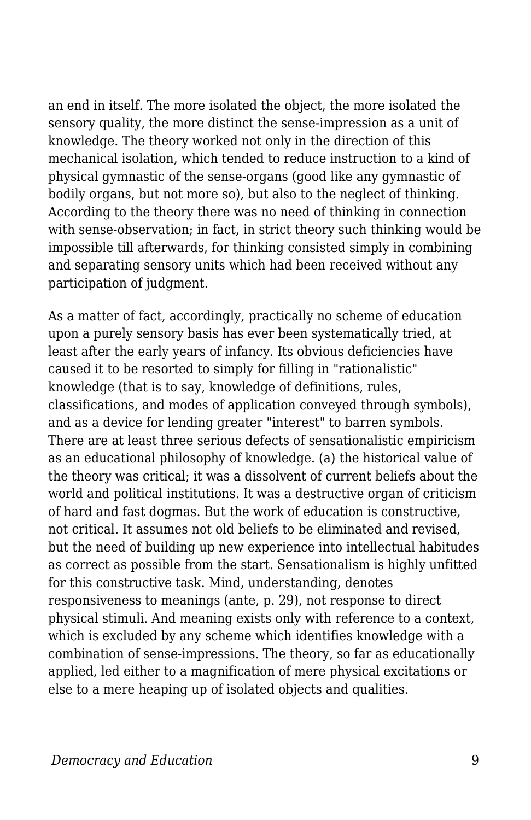an end in itself. The more isolated the object, the more isolated the sensory quality, the more distinct the sense-impression as a unit of knowledge. The theory worked not only in the direction of this mechanical isolation, which tended to reduce instruction to a kind of physical gymnastic of the sense-organs (good like any gymnastic of bodily organs, but not more so), but also to the neglect of thinking. According to the theory there was no need of thinking in connection with sense-observation; in fact, in strict theory such thinking would be impossible till afterwards, for thinking consisted simply in combining and separating sensory units which had been received without any participation of judgment.

As a matter of fact, accordingly, practically no scheme of education upon a purely sensory basis has ever been systematically tried, at least after the early years of infancy. Its obvious deficiencies have caused it to be resorted to simply for filling in "rationalistic" knowledge (that is to say, knowledge of definitions, rules, classifications, and modes of application conveyed through symbols), and as a device for lending greater "interest" to barren symbols. There are at least three serious defects of sensationalistic empiricism as an educational philosophy of knowledge. (a) the historical value of the theory was critical; it was a dissolvent of current beliefs about the world and political institutions. It was a destructive organ of criticism of hard and fast dogmas. But the work of education is constructive, not critical. It assumes not old beliefs to be eliminated and revised, but the need of building up new experience into intellectual habitudes as correct as possible from the start. Sensationalism is highly unfitted for this constructive task. Mind, understanding, denotes responsiveness to meanings (ante, p. 29), not response to direct physical stimuli. And meaning exists only with reference to a context, which is excluded by any scheme which identifies knowledge with a combination of sense-impressions. The theory, so far as educationally applied, led either to a magnification of mere physical excitations or else to a mere heaping up of isolated objects and qualities.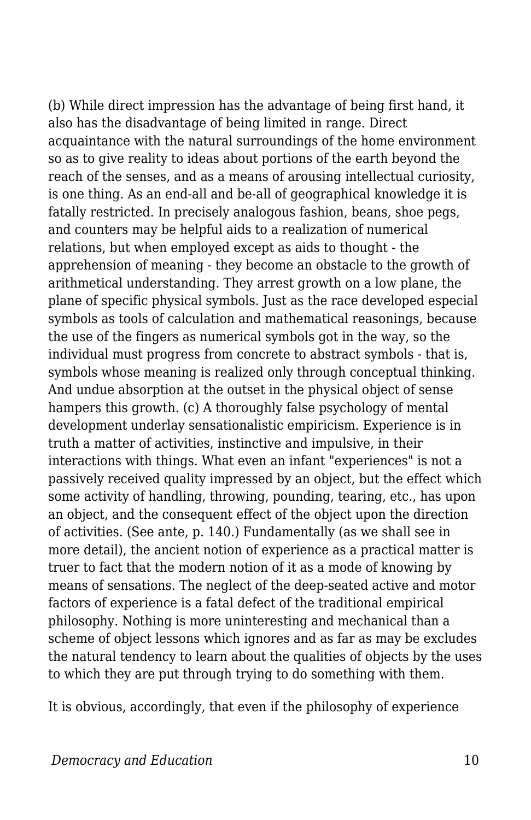(b) While direct impression has the advantage of being first hand, it also has the disadvantage of being limited in range. Direct acquaintance with the natural surroundings of the home environment so as to give reality to ideas about portions of the earth beyond the reach of the senses, and as a means of arousing intellectual curiosity, is one thing. As an end-all and be-all of geographical knowledge it is fatally restricted. In precisely analogous fashion, beans, shoe pegs, and counters may be helpful aids to a realization of numerical relations, but when employed except as aids to thought - the apprehension of meaning - they become an obstacle to the growth of arithmetical understanding. They arrest growth on a low plane, the plane of specific physical symbols. Just as the race developed especial symbols as tools of calculation and mathematical reasonings, because the use of the fingers as numerical symbols got in the way, so the individual must progress from concrete to abstract symbols - that is, symbols whose meaning is realized only through conceptual thinking. And undue absorption at the outset in the physical object of sense hampers this growth. (c) A thoroughly false psychology of mental development underlay sensationalistic empiricism. Experience is in truth a matter of activities, instinctive and impulsive, in their interactions with things. What even an infant "experiences" is not a passively received quality impressed by an object, but the effect which some activity of handling, throwing, pounding, tearing, etc., has upon an object, and the consequent effect of the object upon the direction of activities. (See ante, p. 140.) Fundamentally (as we shall see in more detail), the ancient notion of experience as a practical matter is truer to fact that the modern notion of it as a mode of knowing by means of sensations. The neglect of the deep-seated active and motor factors of experience is a fatal defect of the traditional empirical philosophy. Nothing is more uninteresting and mechanical than a scheme of object lessons which ignores and as far as may be excludes the natural tendency to learn about the qualities of objects by the uses to which they are put through trying to do something with them.

It is obvious, accordingly, that even if the philosophy of experience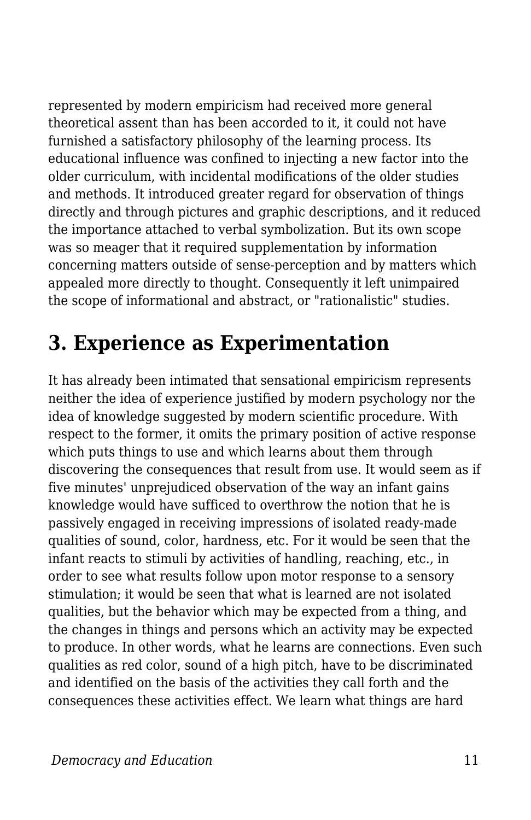represented by modern empiricism had received more general theoretical assent than has been accorded to it, it could not have furnished a satisfactory philosophy of the learning process. Its educational influence was confined to injecting a new factor into the older curriculum, with incidental modifications of the older studies and methods. It introduced greater regard for observation of things directly and through pictures and graphic descriptions, and it reduced the importance attached to verbal symbolization. But its own scope was so meager that it required supplementation by information concerning matters outside of sense-perception and by matters which appealed more directly to thought. Consequently it left unimpaired the scope of informational and abstract, or "rationalistic" studies.

## **3. Experience as Experimentation**

It has already been intimated that sensational empiricism represents neither the idea of experience justified by modern psychology nor the idea of knowledge suggested by modern scientific procedure. With respect to the former, it omits the primary position of active response which puts things to use and which learns about them through discovering the consequences that result from use. It would seem as if five minutes' unprejudiced observation of the way an infant gains knowledge would have sufficed to overthrow the notion that he is passively engaged in receiving impressions of isolated ready-made qualities of sound, color, hardness, etc. For it would be seen that the infant reacts to stimuli by activities of handling, reaching, etc., in order to see what results follow upon motor response to a sensory stimulation; it would be seen that what is learned are not isolated qualities, but the behavior which may be expected from a thing, and the changes in things and persons which an activity may be expected to produce. In other words, what he learns are connections. Even such qualities as red color, sound of a high pitch, have to be discriminated and identified on the basis of the activities they call forth and the consequences these activities effect. We learn what things are hard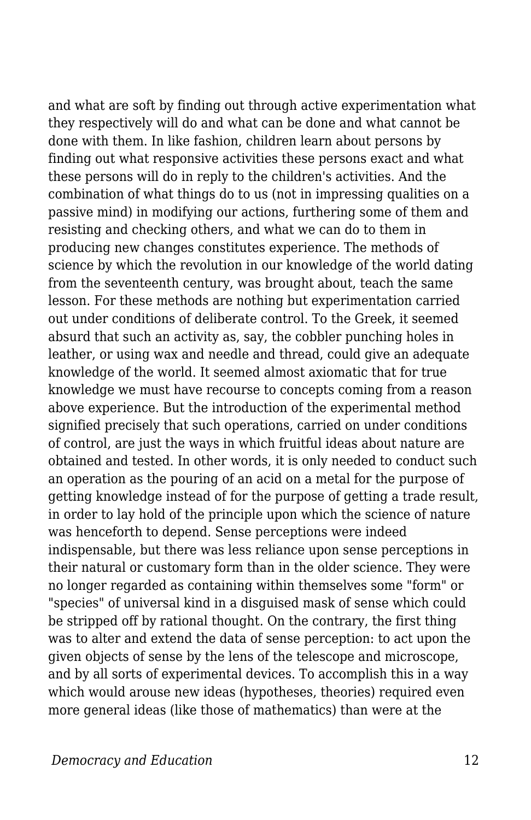and what are soft by finding out through active experimentation what they respectively will do and what can be done and what cannot be done with them. In like fashion, children learn about persons by finding out what responsive activities these persons exact and what these persons will do in reply to the children's activities. And the combination of what things do to us (not in impressing qualities on a passive mind) in modifying our actions, furthering some of them and resisting and checking others, and what we can do to them in producing new changes constitutes experience. The methods of science by which the revolution in our knowledge of the world dating from the seventeenth century, was brought about, teach the same lesson. For these methods are nothing but experimentation carried out under conditions of deliberate control. To the Greek, it seemed absurd that such an activity as, say, the cobbler punching holes in leather, or using wax and needle and thread, could give an adequate knowledge of the world. It seemed almost axiomatic that for true knowledge we must have recourse to concepts coming from a reason above experience. But the introduction of the experimental method signified precisely that such operations, carried on under conditions of control, are just the ways in which fruitful ideas about nature are obtained and tested. In other words, it is only needed to conduct such an operation as the pouring of an acid on a metal for the purpose of getting knowledge instead of for the purpose of getting a trade result, in order to lay hold of the principle upon which the science of nature was henceforth to depend. Sense perceptions were indeed indispensable, but there was less reliance upon sense perceptions in their natural or customary form than in the older science. They were no longer regarded as containing within themselves some "form" or "species" of universal kind in a disguised mask of sense which could be stripped off by rational thought. On the contrary, the first thing was to alter and extend the data of sense perception: to act upon the given objects of sense by the lens of the telescope and microscope, and by all sorts of experimental devices. To accomplish this in a way which would arouse new ideas (hypotheses, theories) required even more general ideas (like those of mathematics) than were at the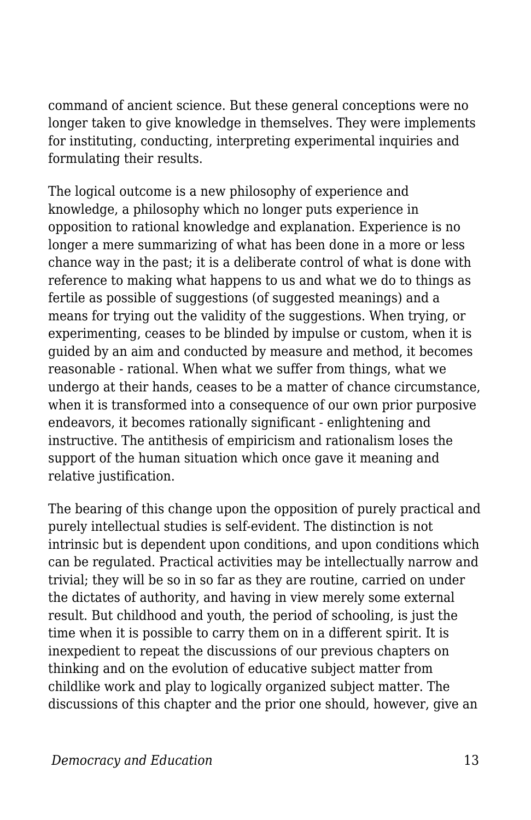command of ancient science. But these general conceptions were no longer taken to give knowledge in themselves. They were implements for instituting, conducting, interpreting experimental inquiries and formulating their results.

The logical outcome is a new philosophy of experience and knowledge, a philosophy which no longer puts experience in opposition to rational knowledge and explanation. Experience is no longer a mere summarizing of what has been done in a more or less chance way in the past; it is a deliberate control of what is done with reference to making what happens to us and what we do to things as fertile as possible of suggestions (of suggested meanings) and a means for trying out the validity of the suggestions. When trying, or experimenting, ceases to be blinded by impulse or custom, when it is guided by an aim and conducted by measure and method, it becomes reasonable - rational. When what we suffer from things, what we undergo at their hands, ceases to be a matter of chance circumstance, when it is transformed into a consequence of our own prior purposive endeavors, it becomes rationally significant - enlightening and instructive. The antithesis of empiricism and rationalism loses the support of the human situation which once gave it meaning and relative justification.

The bearing of this change upon the opposition of purely practical and purely intellectual studies is self-evident. The distinction is not intrinsic but is dependent upon conditions, and upon conditions which can be regulated. Practical activities may be intellectually narrow and trivial; they will be so in so far as they are routine, carried on under the dictates of authority, and having in view merely some external result. But childhood and youth, the period of schooling, is just the time when it is possible to carry them on in a different spirit. It is inexpedient to repeat the discussions of our previous chapters on thinking and on the evolution of educative subject matter from childlike work and play to logically organized subject matter. The discussions of this chapter and the prior one should, however, give an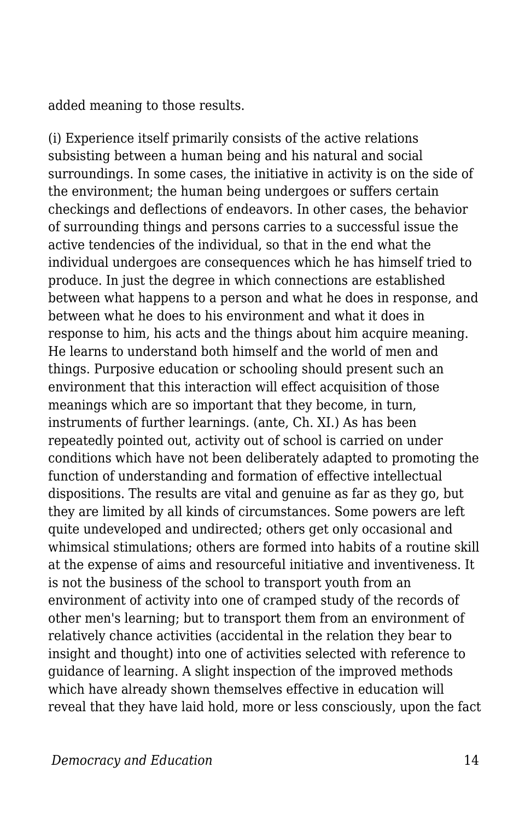added meaning to those results.

(i) Experience itself primarily consists of the active relations subsisting between a human being and his natural and social surroundings. In some cases, the initiative in activity is on the side of the environment; the human being undergoes or suffers certain checkings and deflections of endeavors. In other cases, the behavior of surrounding things and persons carries to a successful issue the active tendencies of the individual, so that in the end what the individual undergoes are consequences which he has himself tried to produce. In just the degree in which connections are established between what happens to a person and what he does in response, and between what he does to his environment and what it does in response to him, his acts and the things about him acquire meaning. He learns to understand both himself and the world of men and things. Purposive education or schooling should present such an environment that this interaction will effect acquisition of those meanings which are so important that they become, in turn, instruments of further learnings. (ante, Ch. XI.) As has been repeatedly pointed out, activity out of school is carried on under conditions which have not been deliberately adapted to promoting the function of understanding and formation of effective intellectual dispositions. The results are vital and genuine as far as they go, but they are limited by all kinds of circumstances. Some powers are left quite undeveloped and undirected; others get only occasional and whimsical stimulations; others are formed into habits of a routine skill at the expense of aims and resourceful initiative and inventiveness. It is not the business of the school to transport youth from an environment of activity into one of cramped study of the records of other men's learning; but to transport them from an environment of relatively chance activities (accidental in the relation they bear to insight and thought) into one of activities selected with reference to guidance of learning. A slight inspection of the improved methods which have already shown themselves effective in education will reveal that they have laid hold, more or less consciously, upon the fact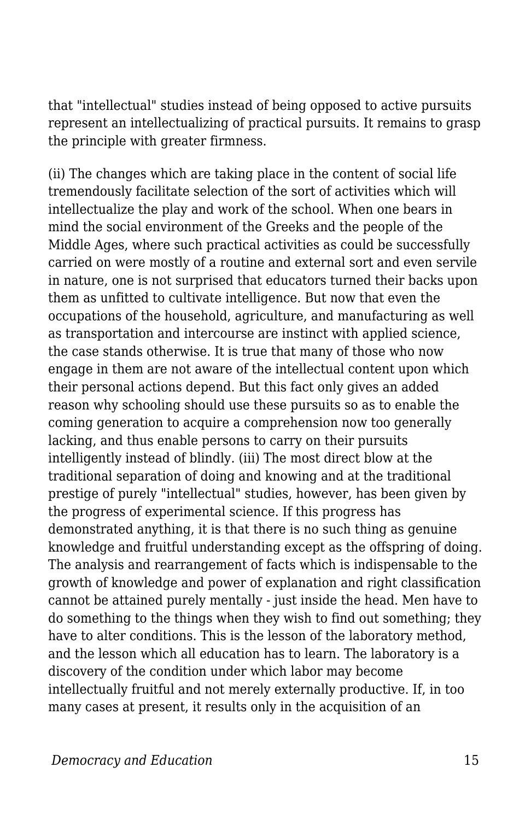that "intellectual" studies instead of being opposed to active pursuits represent an intellectualizing of practical pursuits. It remains to grasp the principle with greater firmness.

(ii) The changes which are taking place in the content of social life tremendously facilitate selection of the sort of activities which will intellectualize the play and work of the school. When one bears in mind the social environment of the Greeks and the people of the Middle Ages, where such practical activities as could be successfully carried on were mostly of a routine and external sort and even servile in nature, one is not surprised that educators turned their backs upon them as unfitted to cultivate intelligence. But now that even the occupations of the household, agriculture, and manufacturing as well as transportation and intercourse are instinct with applied science, the case stands otherwise. It is true that many of those who now engage in them are not aware of the intellectual content upon which their personal actions depend. But this fact only gives an added reason why schooling should use these pursuits so as to enable the coming generation to acquire a comprehension now too generally lacking, and thus enable persons to carry on their pursuits intelligently instead of blindly. (iii) The most direct blow at the traditional separation of doing and knowing and at the traditional prestige of purely "intellectual" studies, however, has been given by the progress of experimental science. If this progress has demonstrated anything, it is that there is no such thing as genuine knowledge and fruitful understanding except as the offspring of doing. The analysis and rearrangement of facts which is indispensable to the growth of knowledge and power of explanation and right classification cannot be attained purely mentally - just inside the head. Men have to do something to the things when they wish to find out something; they have to alter conditions. This is the lesson of the laboratory method, and the lesson which all education has to learn. The laboratory is a discovery of the condition under which labor may become intellectually fruitful and not merely externally productive. If, in too many cases at present, it results only in the acquisition of an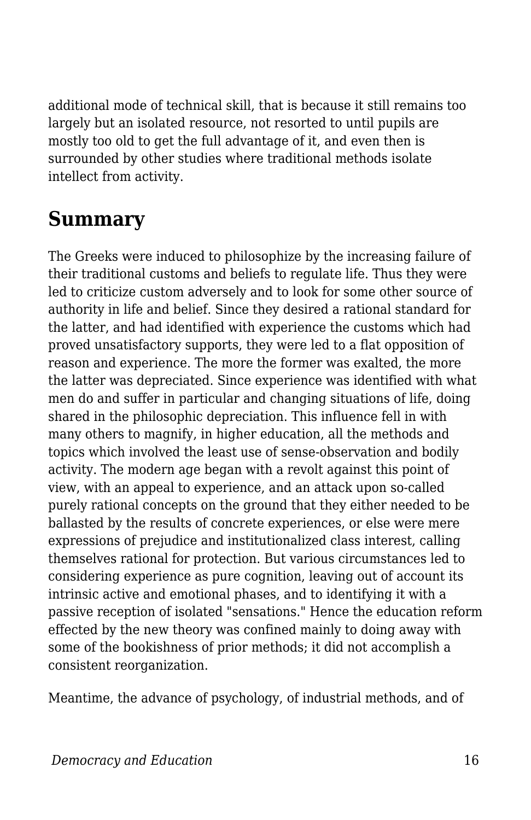additional mode of technical skill, that is because it still remains too largely but an isolated resource, not resorted to until pupils are mostly too old to get the full advantage of it, and even then is surrounded by other studies where traditional methods isolate intellect from activity.

## **Summary**

The Greeks were induced to philosophize by the increasing failure of their traditional customs and beliefs to regulate life. Thus they were led to criticize custom adversely and to look for some other source of authority in life and belief. Since they desired a rational standard for the latter, and had identified with experience the customs which had proved unsatisfactory supports, they were led to a flat opposition of reason and experience. The more the former was exalted, the more the latter was depreciated. Since experience was identified with what men do and suffer in particular and changing situations of life, doing shared in the philosophic depreciation. This influence fell in with many others to magnify, in higher education, all the methods and topics which involved the least use of sense-observation and bodily activity. The modern age began with a revolt against this point of view, with an appeal to experience, and an attack upon so-called purely rational concepts on the ground that they either needed to be ballasted by the results of concrete experiences, or else were mere expressions of prejudice and institutionalized class interest, calling themselves rational for protection. But various circumstances led to considering experience as pure cognition, leaving out of account its intrinsic active and emotional phases, and to identifying it with a passive reception of isolated "sensations." Hence the education reform effected by the new theory was confined mainly to doing away with some of the bookishness of prior methods; it did not accomplish a consistent reorganization.

Meantime, the advance of psychology, of industrial methods, and of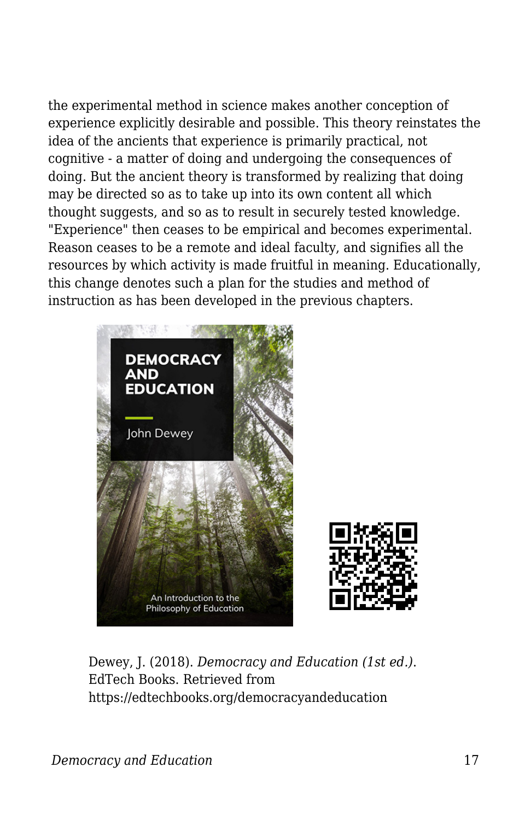the experimental method in science makes another conception of experience explicitly desirable and possible. This theory reinstates the idea of the ancients that experience is primarily practical, not cognitive - a matter of doing and undergoing the consequences of doing. But the ancient theory is transformed by realizing that doing may be directed so as to take up into its own content all which thought suggests, and so as to result in securely tested knowledge. "Experience" then ceases to be empirical and becomes experimental. Reason ceases to be a remote and ideal faculty, and signifies all the resources by which activity is made fruitful in meaning. Educationally, this change denotes such a plan for the studies and method of instruction as has been developed in the previous chapters.





Dewey, J. (2018). *Democracy and Education (1st ed.)*. EdTech Books. Retrieved from https://edtechbooks.org/democracyandeducation